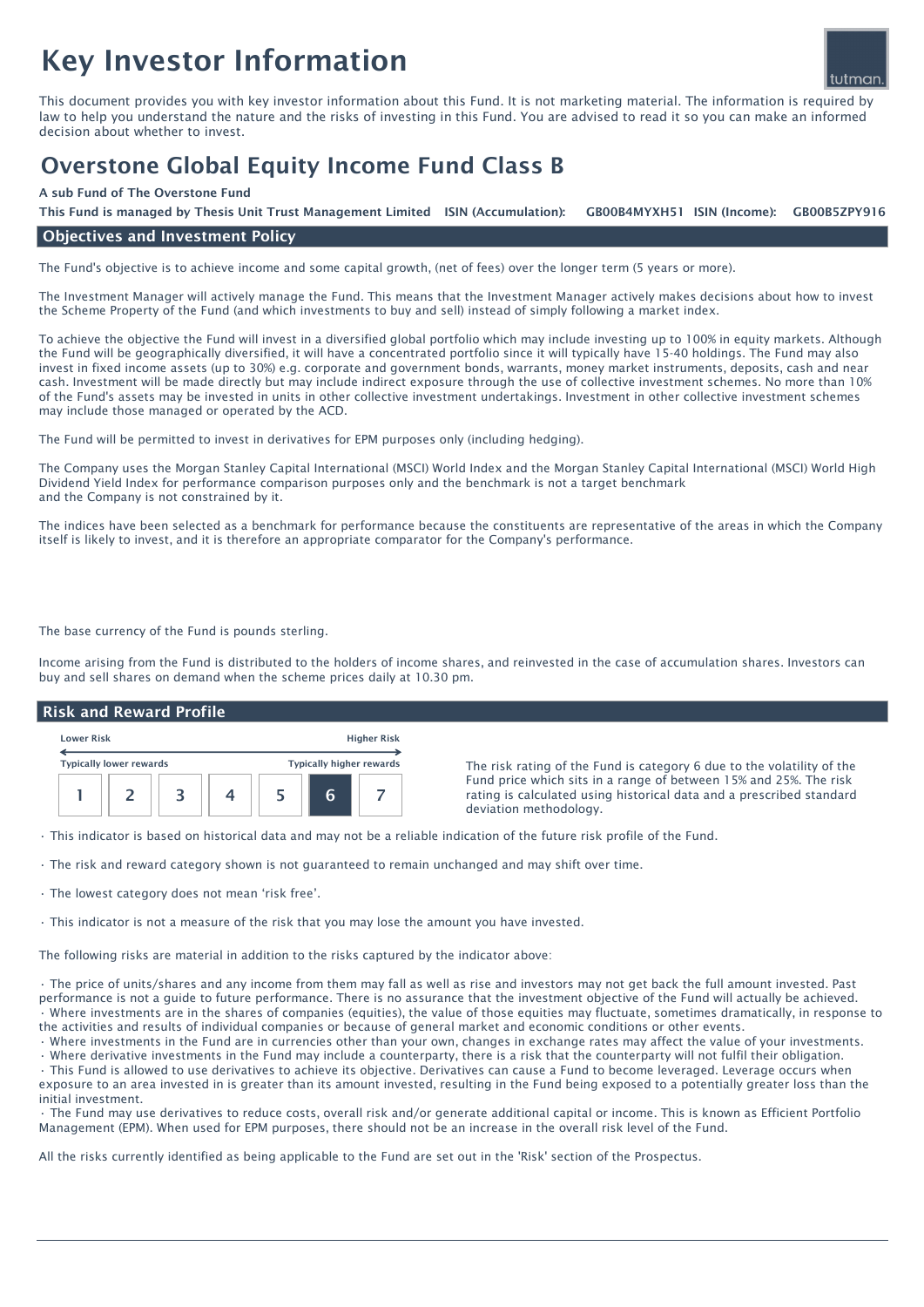# Key Investor Information



This document provides you with key investor information about this Fund. It is not marketing material. The information is required by law to help you understand the nature and the risks of investing in this Fund. You are advised to read it so you can make an informed decision about whether to invest.

# Overstone Global Equity Income Fund Class B

#### A sub Fund of The Overstone Fund

GB00B4MYXH51 ISIN (Income): This Fund is managed by Thesis Unit Trust Management Limited ISIN (Accumulation): GB00B4MYXH51 ISIN (Income): GB00B5ZPY916

## Objectives and Investment Policy

The Fund's objective is to achieve income and some capital growth, (net of fees) over the longer term (5 years or more).

The Investment Manager will actively manage the Fund. This means that the Investment Manager actively makes decisions about how to invest the Scheme Property of the Fund (and which investments to buy and sell) instead of simply following a market index.

To achieve the objective the Fund will invest in a diversified global portfolio which may include investing up to 100% in equity markets. Although the Fund will be geographically diversified, it will have a concentrated portfolio since it will typically have 15-40 holdings. The Fund may also invest in fixed income assets (up to 30%) e.g. corporate and government bonds, warrants, money market instruments, deposits, cash and near cash. Investment will be made directly but may include indirect exposure through the use of collective investment schemes. No more than 10% of the Fund's assets may be invested in units in other collective investment undertakings. Investment in other collective investment schemes may include those managed or operated by the ACD.

The Fund will be permitted to invest in derivatives for EPM purposes only (including hedging).

The Company uses the Morgan Stanley Capital International (MSCI) World Index and the Morgan Stanley Capital International (MSCI) World High Dividend Yield Index for performance comparison purposes only and the benchmark is not a target benchmark and the Company is not constrained by it.

The indices have been selected as a benchmark for performance because the constituents are representative of the areas in which the Company itself is likely to invest, and it is therefore an appropriate comparator for the Company's performance.

The base currency of the Fund is pounds sterling.

Income arising from the Fund is distributed to the holders of income shares, and reinvested in the case of accumulation shares. Investors can buy and sell shares on demand when the scheme prices daily at 10.30 pm.

#### Risk and Reward Profile

| <b>Lower Risk</b> |                                | <b>Higher Risk</b> |  |                          |  |
|-------------------|--------------------------------|--------------------|--|--------------------------|--|
|                   | <b>Typically lower rewards</b> |                    |  | Typically higher rewards |  |
|                   |                                |                    |  | 6                        |  |

The risk rating of the Fund is category 6 due to the volatility of the Fund price which sits in a range of between 15% and 25%. The risk rating is calculated using historical data and a prescribed standard deviation methodology.

• This indicator is based on historical data and may not be a reliable indication of the future risk profile of the Fund.

• The risk and reward category shown is not guaranteed to remain unchanged and may shift over time.

• The lowest category does not mean 'risk free'.

• This indicator is not a measure of the risk that you may lose the amount you have invested.

The following risks are material in addition to the risks captured by the indicator above:

• The price of units/shares and any income from them may fall as well as rise and investors may not get back the full amount invested. Past performance is not a guide to future performance. There is no assurance that the investment objective of the Fund will actually be achieved. • Where investments are in the shares of companies (equities), the value of those equities may fluctuate, sometimes dramatically, in response to the activities and results of individual companies or because of general market and economic conditions or other events.

• Where investments in the Fund are in currencies other than your own, changes in exchange rates may affect the value of your investments.

• Where derivative investments in the Fund may include a counterparty, there is a risk that the counterparty will not fulfil their obligation. • This Fund is allowed to use derivatives to achieve its objective. Derivatives can cause a Fund to become leveraged. Leverage occurs when exposure to an area invested in is greater than its amount invested, resulting in the Fund being exposed to a potentially greater loss than the

initial investment. • The Fund may use derivatives to reduce costs, overall risk and/or generate additional capital or income. This is known as Efficient Portfolio Management (EPM). When used for EPM purposes, there should not be an increase in the overall risk level of the Fund.

All the risks currently identified as being applicable to the Fund are set out in the 'Risk' section of the Prospectus.